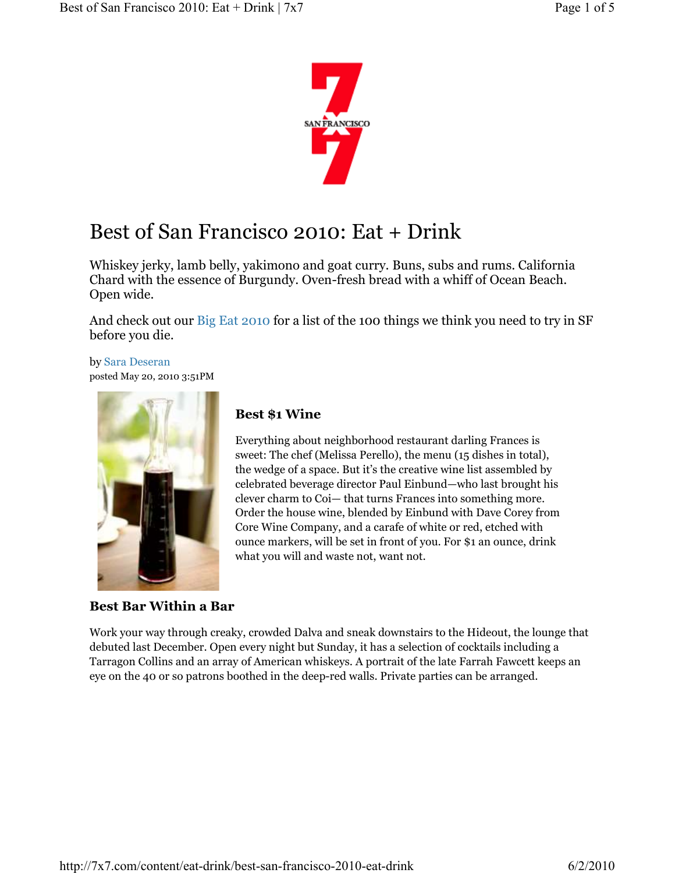

# Best of San Francisco 2010: Eat + Drink

Whiskey jerky, lamb belly, yakimono and goat curry. Buns, subs and rums. California Chard with the essence of Burgundy. Oven-fresh bread with a whiff of Ocean Beach. Open wide.

And check out our Big Eat 2010 for a list of the 100 things we think you need to try in SF before you die.

by Sara Deseran posted May 20, 2010 3:51PM



#### Best Bar Within a Bar

# Best \$1 Wine

Everything about neighborhood restaurant darling Frances is sweet: The chef (Melissa Perello), the menu (15 dishes in total), the wedge of a space. But it's the creative wine list assembled by celebrated beverage director Paul Einbund—who last brought his clever charm to Coi— that turns Frances into something more. Order the house wine, blended by Einbund with Dave Corey from Core Wine Company, and a carafe of white or red, etched with ounce markers, will be set in front of you. For \$1 an ounce, drink what you will and waste not, want not.

Work your way through creaky, crowded Dalva and sneak downstairs to the Hideout, the lounge that debuted last December. Open every night but Sunday, it has a selection of cocktails including a Tarragon Collins and an array of American whiskeys. A portrait of the late Farrah Fawcett keeps an eye on the 40 or so patrons boothed in the deep-red walls. Private parties can be arranged.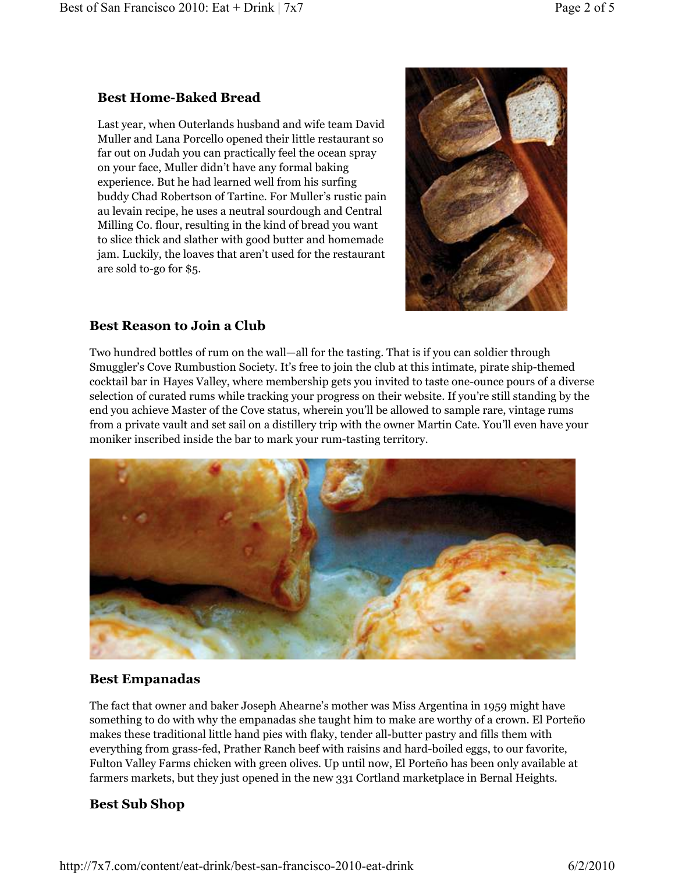# Best Home-Baked Bread

Last year, when Outerlands husband and wife team David Muller and Lana Porcello opened their little restaurant so far out on Judah you can practically feel the ocean spray on your face, Muller didn't have any formal baking experience. But he had learned well from his surfing buddy Chad Robertson of Tartine. For Muller's rustic pain au levain recipe, he uses a neutral sourdough and Central Milling Co. flour, resulting in the kind of bread you want to slice thick and slather with good butter and homemade jam. Luckily, the loaves that aren't used for the restaurant are sold to-go for \$5.



## Best Reason to Join a Club

Two hundred bottles of rum on the wall—all for the tasting. That is if you can soldier through Smuggler's Cove Rumbustion Society. It's free to join the club at this intimate, pirate ship-themed cocktail bar in Hayes Valley, where membership gets you invited to taste one-ounce pours of a diverse selection of curated rums while tracking your progress on their website. If you're still standing by the end you achieve Master of the Cove status, wherein you'll be allowed to sample rare, vintage rums from a private vault and set sail on a distillery trip with the owner Martin Cate. You'll even have your moniker inscribed inside the bar to mark your rum-tasting territory.



# Best Empanadas

The fact that owner and baker Joseph Ahearne's mother was Miss Argentina in 1959 might have something to do with why the empanadas she taught him to make are worthy of a crown. El Porteño makes these traditional little hand pies with flaky, tender all-butter pastry and fills them with everything from grass-fed, Prather Ranch beef with raisins and hard-boiled eggs, to our favorite, Fulton Valley Farms chicken with green olives. Up until now, El Porteño has been only available at farmers markets, but they just opened in the new 331 Cortland marketplace in Bernal Heights.

# Best Sub Shop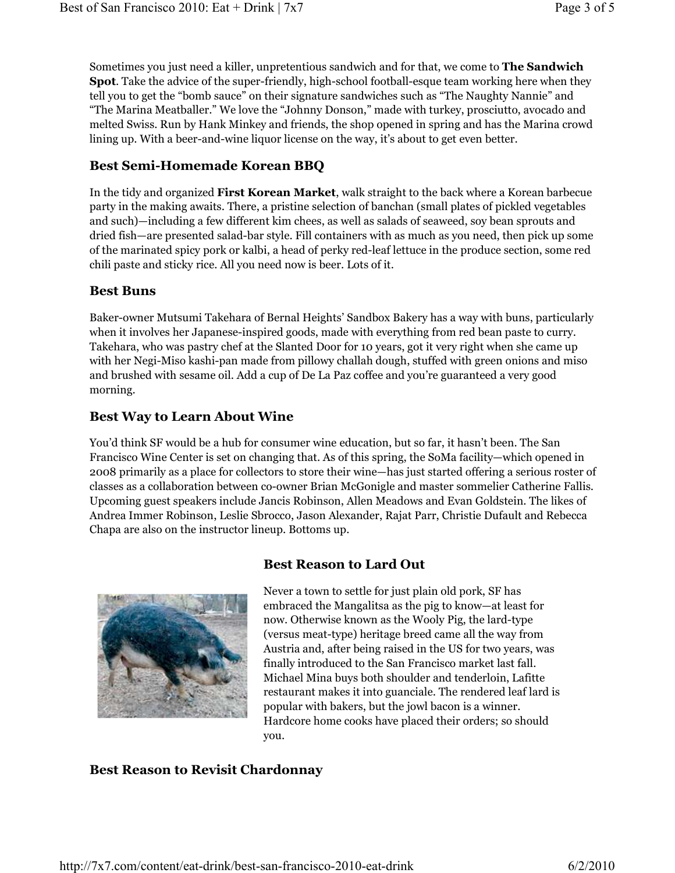Sometimes you just need a killer, unpretentious sandwich and for that, we come to **The Sandwich** Spot. Take the advice of the super-friendly, high-school football-esque team working here when they tell you to get the "bomb sauce" on their signature sandwiches such as "The Naughty Nannie" and "The Marina Meatballer." We love the "Johnny Donson," made with turkey, prosciutto, avocado and melted Swiss. Run by Hank Minkey and friends, the shop opened in spring and has the Marina crowd lining up. With a beer-and-wine liquor license on the way, it's about to get even better.

#### Best Semi-Homemade Korean BBQ

In the tidy and organized First Korean Market, walk straight to the back where a Korean barbecue party in the making awaits. There, a pristine selection of banchan (small plates of pickled vegetables and such)—including a few different kim chees, as well as salads of seaweed, soy bean sprouts and dried fish—are presented salad-bar style. Fill containers with as much as you need, then pick up some of the marinated spicy pork or kalbi, a head of perky red-leaf lettuce in the produce section, some red chili paste and sticky rice. All you need now is beer. Lots of it.

#### Best Buns

Baker-owner Mutsumi Takehara of Bernal Heights' Sandbox Bakery has a way with buns, particularly when it involves her Japanese-inspired goods, made with everything from red bean paste to curry. Takehara, who was pastry chef at the Slanted Door for 10 years, got it very right when she came up with her Negi-Miso kashi-pan made from pillowy challah dough, stuffed with green onions and miso and brushed with sesame oil. Add a cup of De La Paz coffee and you're guaranteed a very good morning.

#### Best Way to Learn About Wine

You'd think SF would be a hub for consumer wine education, but so far, it hasn't been. The San Francisco Wine Center is set on changing that. As of this spring, the SoMa facility—which opened in 2008 primarily as a place for collectors to store their wine—has just started offering a serious roster of classes as a collaboration between co-owner Brian McGonigle and master sommelier Catherine Fallis. Upcoming guest speakers include Jancis Robinson, Allen Meadows and Evan Goldstein. The likes of Andrea Immer Robinson, Leslie Sbrocco, Jason Alexander, Rajat Parr, Christie Dufault and Rebecca Chapa are also on the instructor lineup. Bottoms up.



#### Best Reason to Lard Out

Never a town to settle for just plain old pork, SF has embraced the Mangalitsa as the pig to know—at least for now. Otherwise known as the Wooly Pig, the lard-type (versus meat-type) heritage breed came all the way from Austria and, after being raised in the US for two years, was finally introduced to the San Francisco market last fall. Michael Mina buys both shoulder and tenderloin, Lafitte restaurant makes it into guanciale. The rendered leaf lard is popular with bakers, but the jowl bacon is a winner. Hardcore home cooks have placed their orders; so should you.

#### Best Reason to Revisit Chardonnay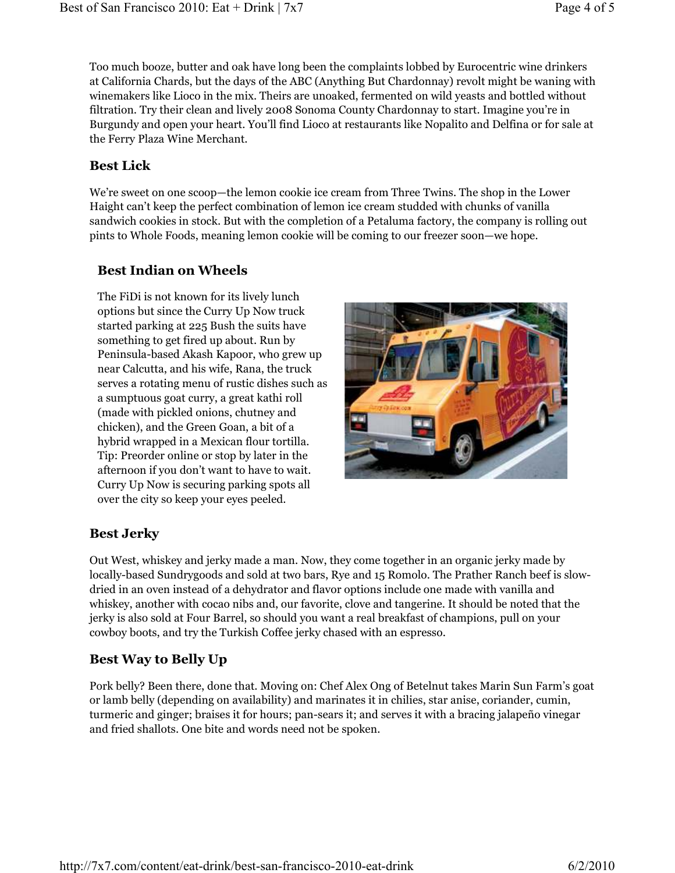Too much booze, butter and oak have long been the complaints lobbed by Eurocentric wine drinkers at California Chards, but the days of the ABC (Anything But Chardonnay) revolt might be waning with winemakers like Lioco in the mix. Theirs are unoaked, fermented on wild yeasts and bottled without filtration. Try their clean and lively 2008 Sonoma County Chardonnay to start. Imagine you're in Burgundy and open your heart. You'll find Lioco at restaurants like Nopalito and Delfina or for sale at the Ferry Plaza Wine Merchant.

# Best Lick

We're sweet on one scoop—the lemon cookie ice cream from Three Twins. The shop in the Lower Haight can't keep the perfect combination of lemon ice cream studded with chunks of vanilla sandwich cookies in stock. But with the completion of a Petaluma factory, the company is rolling out pints to Whole Foods, meaning lemon cookie will be coming to our freezer soon—we hope.

# Best Indian on Wheels

The FiDi is not known for its lively lunch options but since the Curry Up Now truck started parking at 225 Bush the suits have something to get fired up about. Run by Peninsula-based Akash Kapoor, who grew up near Calcutta, and his wife, Rana, the truck serves a rotating menu of rustic dishes such as a sumptuous goat curry, a great kathi roll (made with pickled onions, chutney and chicken), and the Green Goan, a bit of a hybrid wrapped in a Mexican flour tortilla. Tip: Preorder online or stop by later in the afternoon if you don't want to have to wait. Curry Up Now is securing parking spots all over the city so keep your eyes peeled.



# Best Jerky

Out West, whiskey and jerky made a man. Now, they come together in an organic jerky made by locally-based Sundrygoods and sold at two bars, Rye and 15 Romolo. The Prather Ranch beef is slowdried in an oven instead of a dehydrator and flavor options include one made with vanilla and whiskey, another with cocao nibs and, our favorite, clove and tangerine. It should be noted that the jerky is also sold at Four Barrel, so should you want a real breakfast of champions, pull on your cowboy boots, and try the Turkish Coffee jerky chased with an espresso.

# Best Way to Belly Up

Pork belly? Been there, done that. Moving on: Chef Alex Ong of Betelnut takes Marin Sun Farm's goat or lamb belly (depending on availability) and marinates it in chilies, star anise, coriander, cumin, turmeric and ginger; braises it for hours; pan-sears it; and serves it with a bracing jalapeño vinegar and fried shallots. One bite and words need not be spoken.